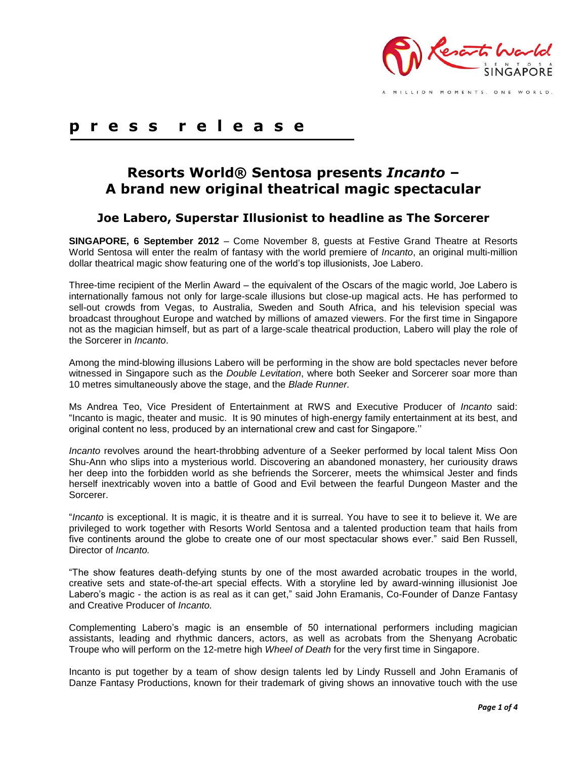

A MILLION MOMENTS. ONE WORLD.

# **p r e s s r e l e a s e**

# **Resorts World® Sentosa presents** *Incanto* **– A brand new original theatrical magic spectacular**

## **Joe Labero, Superstar Illusionist to headline as The Sorcerer**

**SINGAPORE, 6 September 2012** – Come November 8, guests at Festive Grand Theatre at Resorts World Sentosa will enter the realm of fantasy with the world premiere of *Incanto*, an original multi-million dollar theatrical magic show featuring one of the world's top illusionists, Joe Labero.

Three-time recipient of the Merlin Award – the equivalent of the Oscars of the magic world, Joe Labero is internationally famous not only for large-scale illusions but close-up magical acts. He has performed to sell-out crowds from Vegas, to Australia, Sweden and South Africa, and his television special was broadcast throughout Europe and watched by millions of amazed viewers. For the first time in Singapore not as the magician himself, but as part of a large-scale theatrical production, Labero will play the role of the Sorcerer in *Incanto*.

Among the mind-blowing illusions Labero will be performing in the show are bold spectacles never before witnessed in Singapore such as the *Double Levitation*, where both Seeker and Sorcerer soar more than 10 metres simultaneously above the stage, and the *Blade Runner.*

Ms Andrea Teo, Vice President of Entertainment at RWS and Executive Producer of *Incanto* said: "Incanto is magic, theater and music. It is 90 minutes of high-energy family entertainment at its best, and original content no less, produced by an international crew and cast for Singapore.''

*Incanto* revolves around the heart-throbbing adventure of a Seeker performed by local talent Miss Oon Shu-Ann who slips into a mysterious world. Discovering an abandoned monastery, her curiousity draws her deep into the forbidden world as she befriends the Sorcerer, meets the whimsical Jester and finds herself inextricably woven into a battle of Good and Evil between the fearful Dungeon Master and the Sorcerer.

"*Incanto* is exceptional. It is magic, it is theatre and it is surreal. You have to see it to believe it. We are privileged to work together with Resorts World Sentosa and a talented production team that hails from five continents around the globe to create one of our most spectacular shows ever." said Ben Russell, Director of *Incanto.*

"The show features death-defying stunts by one of the most awarded acrobatic troupes in the world, creative sets and state-of-the-art special effects. With a storyline led by award-winning illusionist Joe Labero's magic - the action is as real as it can get," said John Eramanis, Co-Founder of Danze Fantasy and Creative Producer of *Incanto.* 

Complementing Labero's magic is an ensemble of 50 international performers including magician assistants, leading and rhythmic dancers, actors, as well as acrobats from the Shenyang Acrobatic Troupe who will perform on the 12-metre high *Wheel of Death* for the very first time in Singapore.

Incanto is put together by a team of show design talents led by Lindy Russell and John Eramanis of Danze Fantasy Productions, known for their trademark of giving shows an innovative touch with the use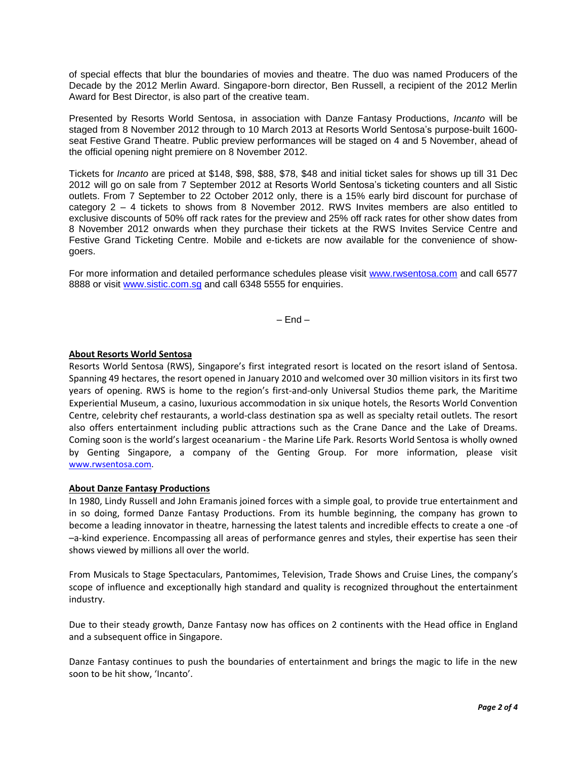of special effects that blur the boundaries of movies and theatre. The duo was named Producers of the Decade by the 2012 Merlin Award. Singapore-born director, Ben Russell, a recipient of the 2012 Merlin Award for Best Director, is also part of the creative team.

Presented by Resorts World Sentosa, in association with Danze Fantasy Productions, *Incanto* will be staged from 8 November 2012 through to 10 March 2013 at Resorts World Sentosa's purpose-built 1600 seat Festive Grand Theatre. Public preview performances will be staged on 4 and 5 November, ahead of the official opening night premiere on 8 November 2012.

Tickets for *Incanto* are priced at \$148, \$98, \$88, \$78, \$48 and initial ticket sales for shows up till 31 Dec 2012 will go on sale from 7 September 2012 at Resorts World Sentosa's ticketing counters and all Sistic outlets. From 7 September to 22 October 2012 only, there is a 15% early bird discount for purchase of category 2 – 4 tickets to shows from 8 November 2012. RWS Invites members are also entitled to exclusive discounts of 50% off rack rates for the preview and 25% off rack rates for other show dates from 8 November 2012 onwards when they purchase their tickets at the RWS Invites Service Centre and Festive Grand Ticketing Centre. Mobile and e-tickets are now available for the convenience of showgoers.

For more information and detailed performance schedules please visit [www.rwsentosa.com](http://www.rwsentosa.com/) and call 6577 8888 or visit [www.sistic.com.sg](http://www.sistic.com.sg/) and call 6348 5555 for enquiries.

 $-$  End  $-$ 

### **About Resorts World Sentosa**

Resorts World Sentosa (RWS), Singapore's first integrated resort is located on the resort island of Sentosa. Spanning 49 hectares, the resort opened in January 2010 and welcomed over 30 million visitors in its first two years of opening. RWS is home to the region's first-and-only Universal Studios theme park, the Maritime Experiential Museum, a casino, luxurious accommodation in six unique hotels, the Resorts World Convention Centre, celebrity chef restaurants, a world-class destination spa as well as specialty retail outlets. The resort also offers entertainment including public attractions such as the Crane Dance and the Lake of Dreams. Coming soon is the world's largest oceanarium - the Marine Life Park. Resorts World Sentosa is wholly owned by Genting Singapore, a company of the Genting Group. For more information, please visit [www.rwsentosa.com.](http://www.rwsentosa.com/)

#### **About Danze Fantasy Productions**

In 1980, Lindy Russell and John Eramanis joined forces with a simple goal, to provide true entertainment and in so doing, formed Danze Fantasy Productions. From its humble beginning, the company has grown to become a leading innovator in theatre, harnessing the latest talents and incredible effects to create a one -of –a-kind experience. Encompassing all areas of performance genres and styles, their expertise has seen their shows viewed by millions all over the world.

From Musicals to Stage Spectaculars, Pantomimes, Television, Trade Shows and Cruise Lines, the company's scope of influence and exceptionally high standard and quality is recognized throughout the entertainment industry.

Due to their steady growth, Danze Fantasy now has offices on 2 continents with the Head office in England and a subsequent office in Singapore.

Danze Fantasy continues to push the boundaries of entertainment and brings the magic to life in the new soon to be hit show, 'Incanto'.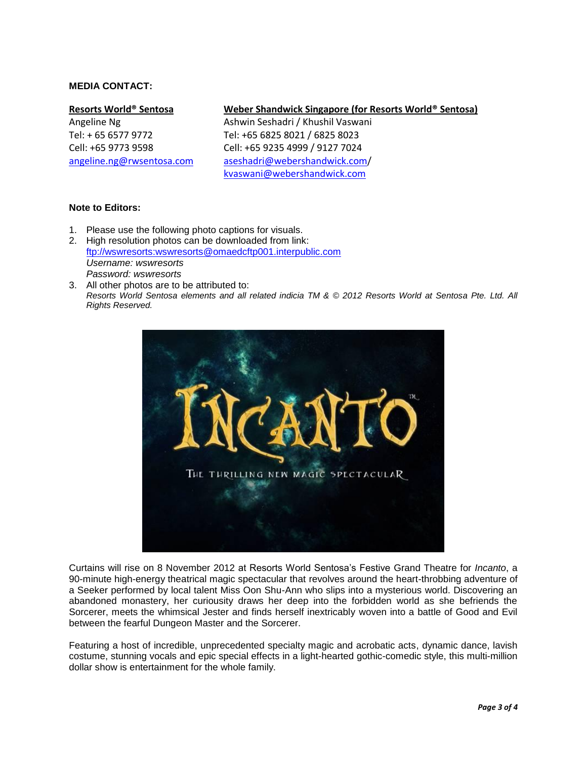### **MEDIA CONTACT:**

#### **Resorts World® Sentosa**

Angeline Ng Tel: + 65 6577 9772 Cell: +65 9773 9598 [angeline.ng@rwsentosa.com](mailto:Angeline.ng@rwsentosa.com)

#### **Weber Shandwick Singapore (for Resorts World® Sentosa)**

Ashwin Seshadri / Khushil Vaswani Tel: +65 6825 8021 / 6825 8023 Cell: +65 9235 4999 / 9127 7024 [aseshadri@webershandwick.com/](mailto:aseshadri@webershandwick.com) [kvaswani@webershandwick.com](mailto:kvaswani@webershandwick.com)

#### **Note to Editors:**

- 1. Please use the following photo captions for visuals.
- 2. High resolution photos can be downloaded from link: [ftp://wswresorts:wswresorts@omaedcftp001.interpublic.com](ftp://wswresorts:wswresorts@omaedcftp001.interpublic.com/) *Username: wswresorts Password: wswresorts*
- 3. All other photos are to be attributed to: *Resorts World Sentosa elements and all related indicia TM & © 2012 Resorts World at Sentosa Pte. Ltd. All Rights Reserved.*



Curtains will rise on 8 November 2012 at Resorts World Sentosa's Festive Grand Theatre for *Incanto*, a 90-minute high-energy theatrical magic spectacular that revolves around the heart-throbbing adventure of a Seeker performed by local talent Miss Oon Shu-Ann who slips into a mysterious world. Discovering an abandoned monastery, her curiousity draws her deep into the forbidden world as she befriends the Sorcerer, meets the whimsical Jester and finds herself inextricably woven into a battle of Good and Evil between the fearful Dungeon Master and the Sorcerer.

Featuring a host of incredible, unprecedented specialty magic and acrobatic acts, dynamic dance, lavish costume, stunning vocals and epic special effects in a light-hearted gothic-comedic style, this multi-million dollar show is entertainment for the whole family.